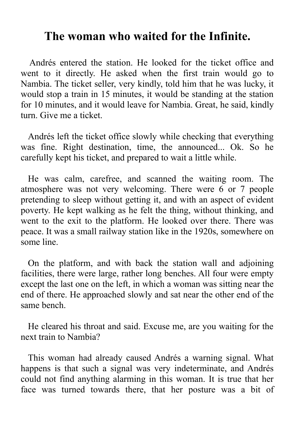## **The woman who waited for the Infinite.**

Andrés entered the station. He looked for the ticket office and went to it directly. He asked when the first train would go to Nambia. The ticket seller, very kindly, told him that he was lucky, it would stop a train in 15 minutes, it would be standing at the station for 10 minutes, and it would leave for Nambia. Great, he said, kindly turn. Give me a ticket.

Andrés left the ticket office slowly while checking that everything was fine. Right destination, time, the announced... Ok. So he carefully kept his ticket, and prepared to wait a little while.

He was calm, carefree, and scanned the waiting room. The atmosphere was not very welcoming. There were 6 or 7 people pretending to sleep without getting it, and with an aspect of evident poverty. He kept walking as he felt the thing, without thinking, and went to the exit to the platform. He looked over there. There was peace. It was a small railway station like in the 1920s, somewhere on some line.

On the platform, and with back the station wall and adjoining facilities, there were large, rather long benches. All four were empty except the last one on the left, in which a woman was sitting near the end of there. He approached slowly and sat near the other end of the same bench.

He cleared his throat and said. Excuse me, are you waiting for the next train to Nambia?

This woman had already caused Andrés a warning signal. What happens is that such a signal was very indeterminate, and Andrés could not find anything alarming in this woman. It is true that her face was turned towards there, that her posture was a bit of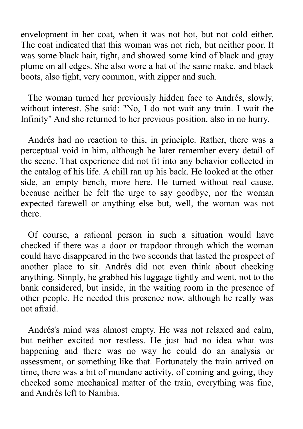envelopment in her coat, when it was not hot, but not cold either. The coat indicated that this woman was not rich, but neither poor. It was some black hair, tight, and showed some kind of black and gray plume on all edges. She also wore a hat of the same make, and black boots, also tight, very common, with zipper and such.

The woman turned her previously hidden face to Andrés, slowly, without interest. She said: "No, I do not wait any train. I wait the Infinity" And she returned to her previous position, also in no hurry.

Andrés had no reaction to this, in principle. Rather, there was a perceptual void in him, although he later remember every detail of the scene. That experience did not fit into any behavior collected in the catalog of his life. A chill ran up his back. He looked at the other side, an empty bench, more here. He turned without real cause, because neither he felt the urge to say goodbye, nor the woman expected farewell or anything else but, well, the woman was not there.

Of course, a rational person in such a situation would have checked if there was a door or trapdoor through which the woman could have disappeared in the two seconds that lasted the prospect of another place to sit. Andrés did not even think about checking anything. Simply, he grabbed his luggage tightly and went, not to the bank considered, but inside, in the waiting room in the presence of other people. He needed this presence now, although he really was not afraid.

Andrés's mind was almost empty. He was not relaxed and calm, but neither excited nor restless. He just had no idea what was happening and there was no way he could do an analysis or assessment, or something like that. Fortunately the train arrived on time, there was a bit of mundane activity, of coming and going, they checked some mechanical matter of the train, everything was fine, and Andrés left to Nambia.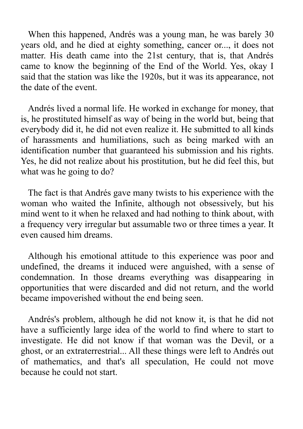When this happened, Andrés was a young man, he was barely 30 years old, and he died at eighty something, cancer or..., it does not matter. His death came into the 21st century, that is, that Andrés came to know the beginning of the End of the World. Yes, okay I said that the station was like the 1920s, but it was its appearance, not the date of the event.

Andrés lived a normal life. He worked in exchange for money, that is, he prostituted himself as way of being in the world but, being that everybody did it, he did not even realize it. He submitted to all kinds of harassments and humiliations, such as being marked with an identification number that guaranteed his submission and his rights. Yes, he did not realize about his prostitution, but he did feel this, but what was he going to do?

The fact is that Andrés gave many twists to his experience with the woman who waited the Infinite, although not obsessively, but his mind went to it when he relaxed and had nothing to think about, with a frequency very irregular but assumable two or three times a year. It even caused him dreams.

Although his emotional attitude to this experience was poor and undefined, the dreams it induced were anguished, with a sense of condemnation. In those dreams everything was disappearing in opportunities that were discarded and did not return, and the world became impoverished without the end being seen.

Andrés's problem, although he did not know it, is that he did not have a sufficiently large idea of the world to find where to start to investigate. He did not know if that woman was the Devil, or a ghost, or an extraterrestrial... All these things were left to Andrés out of mathematics, and that's all speculation, He could not move because he could not start.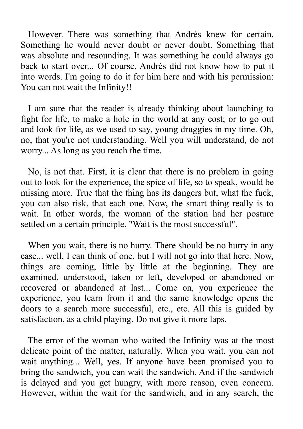However. There was something that Andrés knew for certain. Something he would never doubt or never doubt. Something that was absolute and resounding. It was something he could always go back to start over... Of course, Andrés did not know how to put it into words. I'm going to do it for him here and with his permission: You can not wait the Infinity!!

I am sure that the reader is already thinking about launching to fight for life, to make a hole in the world at any cost; or to go out and look for life, as we used to say, young druggies in my time. Oh, no, that you're not understanding. Well you will understand, do not worry... As long as you reach the time.

No, is not that. First, it is clear that there is no problem in going out to look for the experience, the spice of life, so to speak, would be missing more. True that the thing has its dangers but, what the fuck, you can also risk, that each one. Now, the smart thing really is to wait. In other words, the woman of the station had her posture settled on a certain principle, "Wait is the most successful".

When you wait, there is no hurry. There should be no hurry in any case... well, I can think of one, but I will not go into that here. Now, things are coming, little by little at the beginning. They are examined, understood, taken or left, developed or abandoned or recovered or abandoned at last... Come on, you experience the experience, you learn from it and the same knowledge opens the doors to a search more successful, etc., etc. All this is guided by satisfaction, as a child playing. Do not give it more laps.

The error of the woman who waited the Infinity was at the most delicate point of the matter, naturally. When you wait, you can not wait anything... Well, yes. If anyone have been promised you to bring the sandwich, you can wait the sandwich. And if the sandwich is delayed and you get hungry, with more reason, even concern. However, within the wait for the sandwich, and in any search, the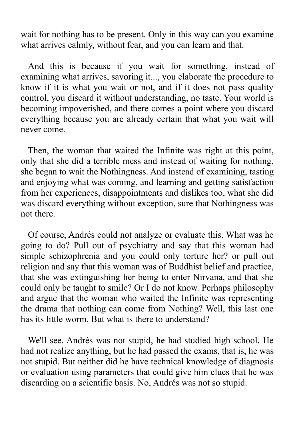wait for nothing has to be present. Only in this way can you examine what arrives calmly, without fear, and you can learn and that.

And this is because if you wait for something, instead of examining what arrives, savoring it..., you elaborate the procedure to know if it is what you wait or not, and if it does not pass quality control, you discard it without understanding, no taste. Your world is becoming impoverished, and there comes a point where you discard everything because you are already certain that what you wait will never come.

Then, the woman that waited the Infinite was right at this point, only that she did a terrible mess and instead of waiting for nothing, she began to wait the Nothingness. And instead of examining, tasting and enjoying what was coming, and learning and getting satisfaction from her experiences, disappointments and dislikes too, what she did was discard everything without exception, sure that Nothingness was not there.

Of course, Andrés could not analyze or evaluate this. What was he going to do? Pull out of psychiatry and say that this woman had simple schizophrenia and you could only torture her? or pull out religion and say that this woman was of Buddhist belief and practice, that she was extinguishing her being to enter Nirvana, and that she could only be taught to smile? Or I do not know. Perhaps philosophy and argue that the woman who waited the Infinite was representing the drama that nothing can come from Nothing? Well, this last one has its little worm. But what is there to understand?

We'll see. Andrés was not stupid, he had studied high school. He had not realize anything, but he had passed the exams, that is, he was not stupid. But neither did he have technical knowledge of diagnosis or evaluation using parameters that could give him clues that he was discarding on a scientific basis. No, Andrés was not so stupid.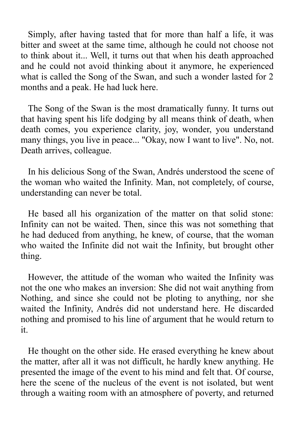Simply, after having tasted that for more than half a life, it was bitter and sweet at the same time, although he could not choose not to think about it... Well, it turns out that when his death approached and he could not avoid thinking about it anymore, he experienced what is called the Song of the Swan, and such a wonder lasted for 2 months and a peak. He had luck here.

The Song of the Swan is the most dramatically funny. It turns out that having spent his life dodging by all means think of death, when death comes, you experience clarity, joy, wonder, you understand many things, you live in peace... "Okay, now I want to live". No, not. Death arrives, colleague.

In his delicious Song of the Swan, Andrés understood the scene of the woman who waited the Infinity. Man, not completely, of course, understanding can never be total.

He based all his organization of the matter on that solid stone: Infinity can not be waited. Then, since this was not something that he had deduced from anything, he knew, of course, that the woman who waited the Infinite did not wait the Infinity, but brought other thing.

However, the attitude of the woman who waited the Infinity was not the one who makes an inversion: She did not wait anything from Nothing, and since she could not be ploting to anything, nor she waited the Infinity, Andrés did not understand here. He discarded nothing and promised to his line of argument that he would return to it.

He thought on the other side. He erased everything he knew about the matter, after all it was not difficult, he hardly knew anything. He presented the image of the event to his mind and felt that. Of course, here the scene of the nucleus of the event is not isolated, but went through a waiting room with an atmosphere of poverty, and returned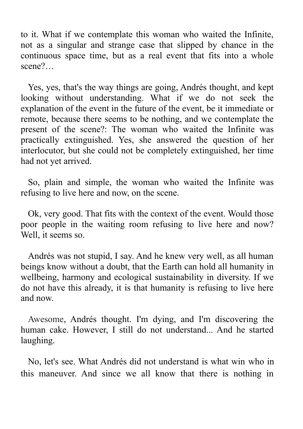to it. What if we contemplate this woman who waited the Infinite, not as a singular and strange case that slipped by chance in the continuous space time, but as a real event that fits into a whole scene?…

Yes, yes, that's the way things are going, Andrés thought, and kept looking without understanding. What if we do not seek the explanation of the event in the future of the event, be it immediate or remote, because there seems to be nothing, and we contemplate the present of the scene?: The woman who waited the Infinite was practically extinguished. Yes, she answered the question of her interlocutor, but she could not be completely extinguished, her time had not yet arrived.

So, plain and simple, the woman who waited the Infinite was refusing to live here and now, on the scene.

Ok, very good. That fits with the context of the event. Would those poor people in the waiting room refusing to live here and now? Well, it seems so.

Andrés was not stupid, I say. And he knew very well, as all human beings know without a doubt, that the Earth can hold all humanity in wellbeing, harmony and ecological sustainability in diversity. If we do not have this already, it is that humanity is refusing to live here and now.

Awesome, Andrés thought. I'm dying, and I'm discovering the human cake. However, I still do not understand... And he started laughing.

No, let's see. What Andrés did not understand is what win who in this maneuver. And since we all know that there is nothing in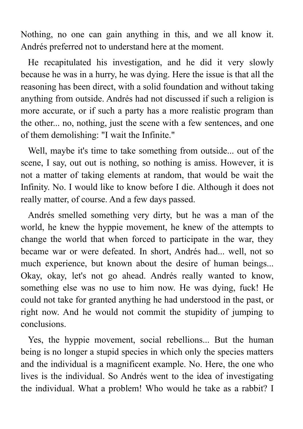Nothing, no one can gain anything in this, and we all know it. Andrés preferred not to understand here at the moment.

He recapitulated his investigation, and he did it very slowly because he was in a hurry, he was dying. Here the issue is that all the reasoning has been direct, with a solid foundation and without taking anything from outside. Andrés had not discussed if such a religion is more accurate, or if such a party has a more realistic program than the other... no, nothing, just the scene with a few sentences, and one of them demolishing: "I wait the Infinite."

Well, maybe it's time to take something from outside... out of the scene, I say, out out is nothing, so nothing is amiss. However, it is not a matter of taking elements at random, that would be wait the Infinity. No. I would like to know before I die. Although it does not really matter, of course. And a few days passed.

Andrés smelled something very dirty, but he was a man of the world, he knew the hyppie movement, he knew of the attempts to change the world that when forced to participate in the war, they became war or were defeated. In short, Andrés had... well, not so much experience, but known about the desire of human beings... Okay, okay, let's not go ahead. Andrés really wanted to know, something else was no use to him now. He was dying, fuck! He could not take for granted anything he had understood in the past, or right now. And he would not commit the stupidity of jumping to conclusions.

Yes, the hyppie movement, social rebellions... But the human being is no longer a stupid species in which only the species matters and the individual is a magnificent example. No. Here, the one who lives is the individual. So Andrés went to the idea of investigating the individual. What a problem! Who would he take as a rabbit? I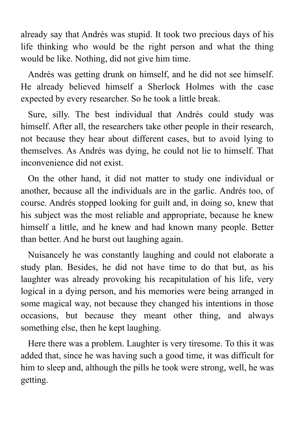already say that Andrés was stupid. It took two precious days of his life thinking who would be the right person and what the thing would be like. Nothing, did not give him time.

Andrés was getting drunk on himself, and he did not see himself. He already believed himself a Sherlock Holmes with the case expected by every researcher. So he took a little break.

Sure, silly. The best individual that Andrés could study was himself. After all, the researchers take other people in their research, not because they hear about different cases, but to avoid lying to themselves. As Andrés was dying, he could not lie to himself. That inconvenience did not exist.

On the other hand, it did not matter to study one individual or another, because all the individuals are in the garlic. Andrés too, of course. Andrés stopped looking for guilt and, in doing so, knew that his subject was the most reliable and appropriate, because he knew himself a little, and he knew and had known many people. Better than better. And he burst out laughing again.

Nuisancely he was constantly laughing and could not elaborate a study plan. Besides, he did not have time to do that but, as his laughter was already provoking his recapitulation of his life, very logical in a dying person, and his memories were being arranged in some magical way, not because they changed his intentions in those occasions, but because they meant other thing, and always something else, then he kept laughing.

Here there was a problem. Laughter is very tiresome. To this it was added that, since he was having such a good time, it was difficult for him to sleep and, although the pills he took were strong, well, he was getting.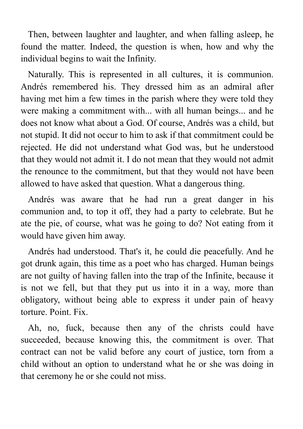Then, between laughter and laughter, and when falling asleep, he found the matter. Indeed, the question is when, how and why the individual begins to wait the Infinity.

Naturally. This is represented in all cultures, it is communion. Andrés remembered his. They dressed him as an admiral after having met him a few times in the parish where they were told they were making a commitment with... with all human beings... and he does not know what about a God. Of course, Andrés was a child, but not stupid. It did not occur to him to ask if that commitment could be rejected. He did not understand what God was, but he understood that they would not admit it. I do not mean that they would not admit the renounce to the commitment, but that they would not have been allowed to have asked that question. What a dangerous thing.

Andrés was aware that he had run a great danger in his communion and, to top it off, they had a party to celebrate. But he ate the pie, of course, what was he going to do? Not eating from it would have given him away.

Andrés had understood. That's it, he could die peacefully. And he got drunk again, this time as a poet who has charged. Human beings are not guilty of having fallen into the trap of the Infinite, because it is not we fell, but that they put us into it in a way, more than obligatory, without being able to express it under pain of heavy torture. Point. Fix.

Ah, no, fuck, because then any of the christs could have succeeded, because knowing this, the commitment is over. That contract can not be valid before any court of justice, torn from a child without an option to understand what he or she was doing in that ceremony he or she could not miss.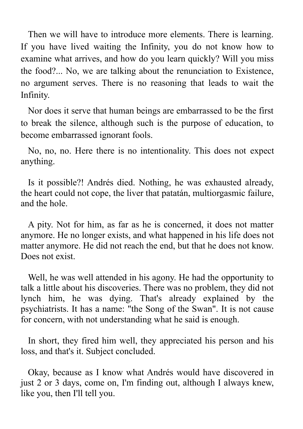Then we will have to introduce more elements. There is learning. If you have lived waiting the Infinity, you do not know how to examine what arrives, and how do you learn quickly? Will you miss the food?... No, we are talking about the renunciation to Existence, no argument serves. There is no reasoning that leads to wait the Infinity.

Nor does it serve that human beings are embarrassed to be the first to break the silence, although such is the purpose of education, to become embarrassed ignorant fools.

No, no, no. Here there is no intentionality. This does not expect anything.

Is it possible?! Andrés died. Nothing, he was exhausted already, the heart could not cope, the liver that patatán, multiorgasmic failure, and the hole.

A pity. Not for him, as far as he is concerned, it does not matter anymore. He no longer exists, and what happened in his life does not matter anymore. He did not reach the end, but that he does not know. Does not exist.

Well, he was well attended in his agony. He had the opportunity to talk a little about his discoveries. There was no problem, they did not lynch him, he was dying. That's already explained by the psychiatrists. It has a name: "the Song of the Swan". It is not cause for concern, with not understanding what he said is enough.

In short, they fired him well, they appreciated his person and his loss, and that's it. Subject concluded.

Okay, because as I know what Andrés would have discovered in just 2 or 3 days, come on, I'm finding out, although I always knew, like you, then I'll tell you.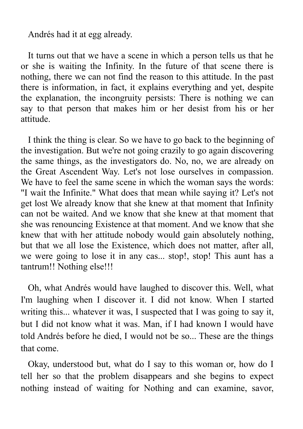Andrés had it at egg already.

It turns out that we have a scene in which a person tells us that he or she is waiting the Infinity. In the future of that scene there is nothing, there we can not find the reason to this attitude. In the past there is information, in fact, it explains everything and yet, despite the explanation, the incongruity persists: There is nothing we can say to that person that makes him or her desist from his or her attitude.

I think the thing is clear. So we have to go back to the beginning of the investigation. But we're not going crazily to go again discovering the same things, as the investigators do. No, no, we are already on the Great Ascendent Way. Let's not lose ourselves in compassion. We have to feel the same scene in which the woman says the words: "I wait the Infinite." What does that mean while saying it? Let's not get lost We already know that she knew at that moment that Infinity can not be waited. And we know that she knew at that moment that she was renouncing Existence at that moment. And we know that she knew that with her attitude nobody would gain absolutely nothing, but that we all lose the Existence, which does not matter, after all, we were going to lose it in any cas... stop!, stop! This aunt has a tantrum!! Nothing else!!!

Oh, what Andrés would have laughed to discover this. Well, what I'm laughing when I discover it. I did not know. When I started writing this... whatever it was, I suspected that I was going to say it, but I did not know what it was. Man, if I had known I would have told Andrés before he died, I would not be so... These are the things that come.

Okay, understood but, what do I say to this woman or, how do I tell her so that the problem disappears and she begins to expect nothing instead of waiting for Nothing and can examine, savor,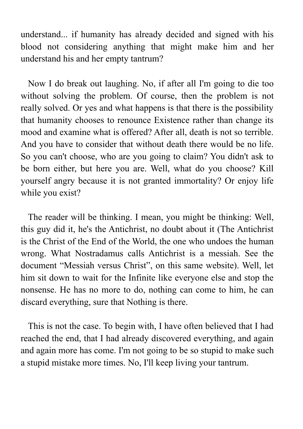understand... if humanity has already decided and signed with his blood not considering anything that might make him and her understand his and her empty tantrum?

Now I do break out laughing. No, if after all I'm going to die too without solving the problem. Of course, then the problem is not really solved. Or yes and what happens is that there is the possibility that humanity chooses to renounce Existence rather than change its mood and examine what is offered? After all, death is not so terrible. And you have to consider that without death there would be no life. So you can't choose, who are you going to claim? You didn't ask to be born either, but here you are. Well, what do you choose? Kill yourself angry because it is not granted immortality? Or enjoy life while you exist?

The reader will be thinking. I mean, you might be thinking: Well, this guy did it, he's the Antichrist, no doubt about it (The Antichrist is the Christ of the End of the World, the one who undoes the human wrong. What Nostradamus calls Antichrist is a messiah. See the document "Messiah versus Christ", on this same website). Well, let him sit down to wait for the Infinite like everyone else and stop the nonsense. He has no more to do, nothing can come to him, he can discard everything, sure that Nothing is there.

This is not the case. To begin with, I have often believed that I had reached the end, that I had already discovered everything, and again and again more has come. I'm not going to be so stupid to make such a stupid mistake more times. No, I'll keep living your tantrum.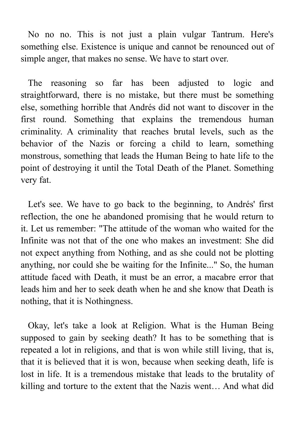No no no. This is not just a plain vulgar Tantrum. Here's something else. Existence is unique and cannot be renounced out of simple anger, that makes no sense. We have to start over.

The reasoning so far has been adjusted to logic and straightforward, there is no mistake, but there must be something else, something horrible that Andrés did not want to discover in the first round. Something that explains the tremendous human criminality. A criminality that reaches brutal levels, such as the behavior of the Nazis or forcing a child to learn, something monstrous, something that leads the Human Being to hate life to the point of destroying it until the Total Death of the Planet. Something very fat.

Let's see. We have to go back to the beginning, to Andrés' first reflection, the one he abandoned promising that he would return to it. Let us remember: "The attitude of the woman who waited for the Infinite was not that of the one who makes an investment: She did not expect anything from Nothing, and as she could not be plotting anything, nor could she be waiting for the Infinite..." So, the human attitude faced with Death, it must be an error, a macabre error that leads him and her to seek death when he and she know that Death is nothing, that it is Nothingness.

Okay, let's take a look at Religion. What is the Human Being supposed to gain by seeking death? It has to be something that is repeated a lot in religions, and that is won while still living, that is, that it is believed that it is won, because when seeking death, life is lost in life. It is a tremendous mistake that leads to the brutality of killing and torture to the extent that the Nazis went… And what did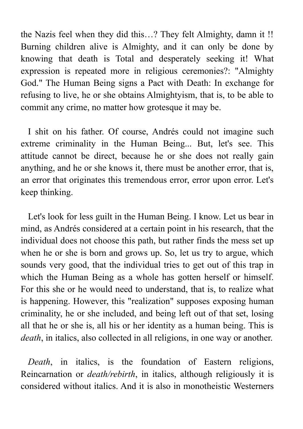the Nazis feel when they did this…? They felt Almighty, damn it !! Burning children alive is Almighty, and it can only be done by knowing that death is Total and desperately seeking it! What expression is repeated more in religious ceremonies?: "Almighty God." The Human Being signs a Pact with Death: In exchange for refusing to live, he or she obtains Almightyism, that is, to be able to commit any crime, no matter how grotesque it may be.

I shit on his father. Of course, Andrés could not imagine such extreme criminality in the Human Being... But, let's see. This attitude cannot be direct, because he or she does not really gain anything, and he or she knows it, there must be another error, that is, an error that originates this tremendous error, error upon error. Let's keep thinking.

Let's look for less guilt in the Human Being. I know. Let us bear in mind, as Andrés considered at a certain point in his research, that the individual does not choose this path, but rather finds the mess set up when he or she is born and grows up. So, let us try to argue, which sounds very good, that the individual tries to get out of this trap in which the Human Being as a whole has gotten herself or himself. For this she or he would need to understand, that is, to realize what is happening. However, this "realization" supposes exposing human criminality, he or she included, and being left out of that set, losing all that he or she is, all his or her identity as a human being. This is *death*, in italics, also collected in all religions, in one way or another.

*Death*, in italics, is the foundation of Eastern religions, Reincarnation or *death/rebirth*, in italics, although religiously it is considered without italics. And it is also in monotheistic Westerners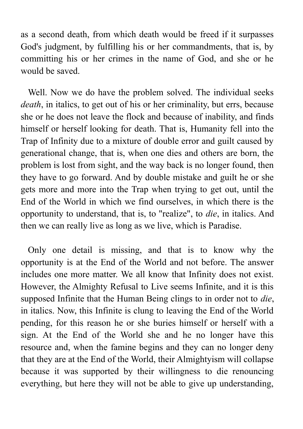as a second death, from which death would be freed if it surpasses God's judgment, by fulfilling his or her commandments, that is, by committing his or her crimes in the name of God, and she or he would be saved.

Well. Now we do have the problem solved. The individual seeks *death*, in italics, to get out of his or her criminality, but errs, because she or he does not leave the flock and because of inability, and finds himself or herself looking for death. That is, Humanity fell into the Trap of Infinity due to a mixture of double error and guilt caused by generational change, that is, when one dies and others are born, the problem is lost from sight, and the way back is no longer found, then they have to go forward. And by double mistake and guilt he or she gets more and more into the Trap when trying to get out, until the End of the World in which we find ourselves, in which there is the opportunity to understand, that is, to "realize", to *die*, in italics. And then we can really live as long as we live, which is Paradise.

Only one detail is missing, and that is to know why the opportunity is at the End of the World and not before. The answer includes one more matter. We all know that Infinity does not exist. However, the Almighty Refusal to Live seems Infinite, and it is this supposed Infinite that the Human Being clings to in order not to *die*, in italics. Now, this Infinite is clung to leaving the End of the World pending, for this reason he or she buries himself or herself with a sign. At the End of the World she and he no longer have this resource and, when the famine begins and they can no longer deny that they are at the End of the World, their Almightyism will collapse because it was supported by their willingness to die renouncing everything, but here they will not be able to give up understanding,